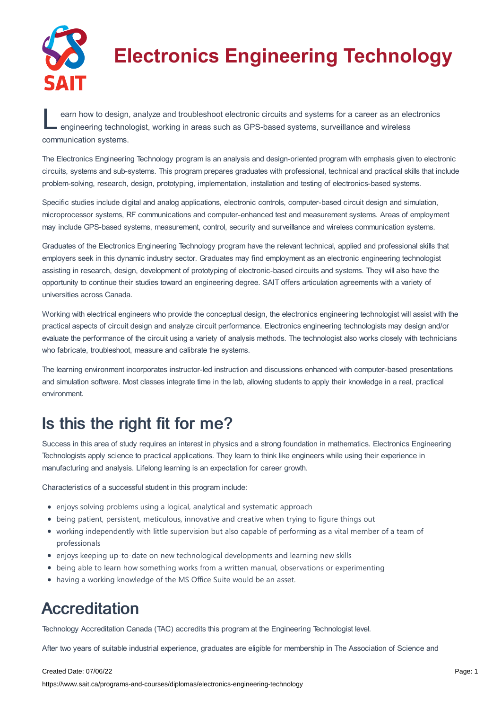

# **Electronics Engineering Technology**

earn how to design, analyze and troubleshoot electronic circuits and systems for a career as an electronic engineering technologist, working in areas such as GPS-based systems, surveillance and wireless earn how to design, analyze and troubleshoot electronic circuits and systems for a career as an electronics communication systems.

The Electronics Engineering Technology program is an analysis and design-oriented program with emphasis given to electronic circuits, systems and sub-systems. This program prepares graduates with professional, technical and practical skills that include problem-solving, research, design, prototyping, implementation, installation and testing of electronics-based systems.

Specific studies include digital and analog applications, electronic controls, computer-based circuit design and simulation, microprocessor systems, RF communications and computer-enhanced test and measurement systems. Areas of employment may include GPS-based systems, measurement, control, security and surveillance and wireless communication systems.

Graduates of the Electronics Engineering Technology program have the relevant technical, applied and professional skills that employers seek in this dynamic industry sector. Graduates may find employment as an electronic engineering technologist assisting in research, design, development of prototyping of electronic-based circuits and systems. They will also have the opportunity to continue their studies toward an engineering degree. SAIT offers articulation agreements with a variety of universities across Canada.

Working with electrical engineers who provide the conceptual design, the electronics engineering technologist will assist with the practical aspects of circuit design and analyze circuit performance. Electronics engineering technologists may design and/or evaluate the performance of the circuit using a variety of analysis methods. The technologist also works closely with technicians who fabricate, troubleshoot, measure and calibrate the systems.

The learning environment incorporates instructor-led instruction and discussions enhanced with computer-based presentations and simulation software. Most classes integrate time in the lab, allowing students to apply their knowledge in a real, practical environment.

### Is this the right fit for me?

Success in this area of study requires an interest in physics and a strong foundation in mathematics. Electronics Engineering Technologists apply science to practical applications. They learn to think like engineers while using their experience in manufacturing and analysis. Lifelong learning is an expectation for career growth.

Characteristics of a successful student in this program include:

- enjoys solving problems using a logical, analytical and systematic approach
- being patient, persistent, meticulous, innovative and creative when trying to figure things out
- working independently with little supervision but also capable of performing as a vital member of a team of professionals
- enjoys keeping up-to-date on new technological developments and learning new skills
- being able to learn how something works from a written manual, observations or experimenting
- having a working knowledge of the MS Office Suite would be an asset.

### Accreditation

Technology Accreditation Canada (TAC) accredits this program at the Engineering Technologist level.

After two years of suitable industrial experience, graduates are eligible for membership in The Association of Science and

#### Created Date: 07/06/22

https://www.sait.ca/programs-and-courses/diplomas/electronics-engineering-technology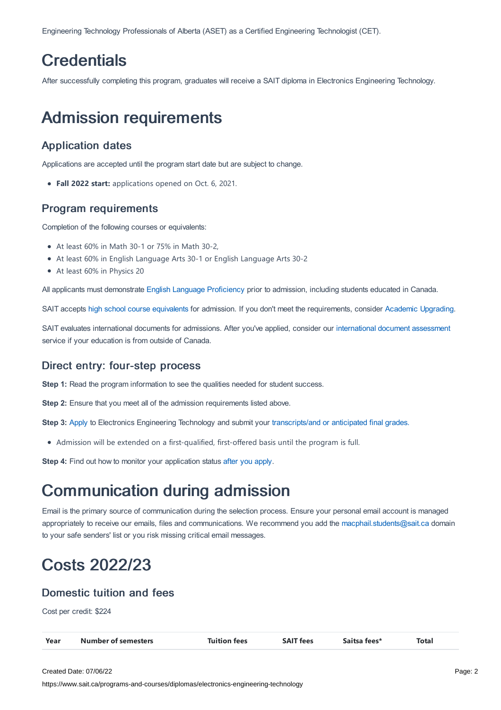Engineering Technology Professionals of Alberta (ASET) as a Certified Engineering Technologist (CET).

### **Credentials**

After successfully completing this program, graduates will receive a SAIT diploma in Electronics Engineering Technology.

### Admission requirements

### Application dates

Applications are accepted until the program start date but are subject to change.

**Fall 2022 start:** applications opened on Oct. 6, 2021.

#### Program requirements

Completion of the following courses or equivalents:

- At least 60% in Math 30-1 or 75% in Math 30-2,
- At least 60% in English Language Arts 30-1 or English Language Arts 30-2
- At least 60% in Physics 20

All applicants must demonstrate English Language [Proficiency](https://www.sait.ca/admissions/before-you-apply/english-proficiency) prior to admission, including students educated in Canada.

SAIT accepts high school course [equivalents](https://www.sait.ca/admissions/before-you-apply/high-school-course-equivalencies) for admission. If you don't meet the requirements, consider Academic [Upgrading.](https://www.sait.ca/programs-and-courses/academic-upgrading)

SAIT evaluates international documents for admissions. After you've applied, consider our [international](https://www.sait.ca/admissions/after-you-apply/international-document-assessment) document assessment service if your education is from outside of Canada.

### Direct entry: four-step process

**Step 1:** Read the program information to see the qualities needed for student success.

**Step 2:** Ensure that you meet all of the admission requirements listed above.

**Step 3:** [Apply](https://www.sait.ca/admissions/apply) to Electronics Engineering Technology and submit your [transcripts/and](https://www.sait.ca/admissions/after-you-apply/transcripts-and-supporting-documents) or anticipated final grades.

Admission will be extended on a first-qualified, first-offered basis until the program is full.

**Step 4:** Find out how to monitor your application status after you [apply](https://www.sait.ca/admissions/after-you-apply/tracking-your-application).

### Communication during admission

Email is the primary source of communication during the selection process. Ensure your personal email account is managed appropriately to receive our emails, files and communications. We recommend you add the [macphail.students@sait.ca](https://sait.camailto:macphail.students@sait.ca) domain to your safe senders' list or you risk missing critical email messages.

## Costs 2022/23

### Domestic tuition and fees

Cost per credit: \$224

| Year | <b>Number of semesters</b> | <b>Tuition fees</b> | <b>SAIT fees</b> | Saitsa fees* | <b>Total</b> |
|------|----------------------------|---------------------|------------------|--------------|--------------|
|      |                            |                     |                  |              |              |